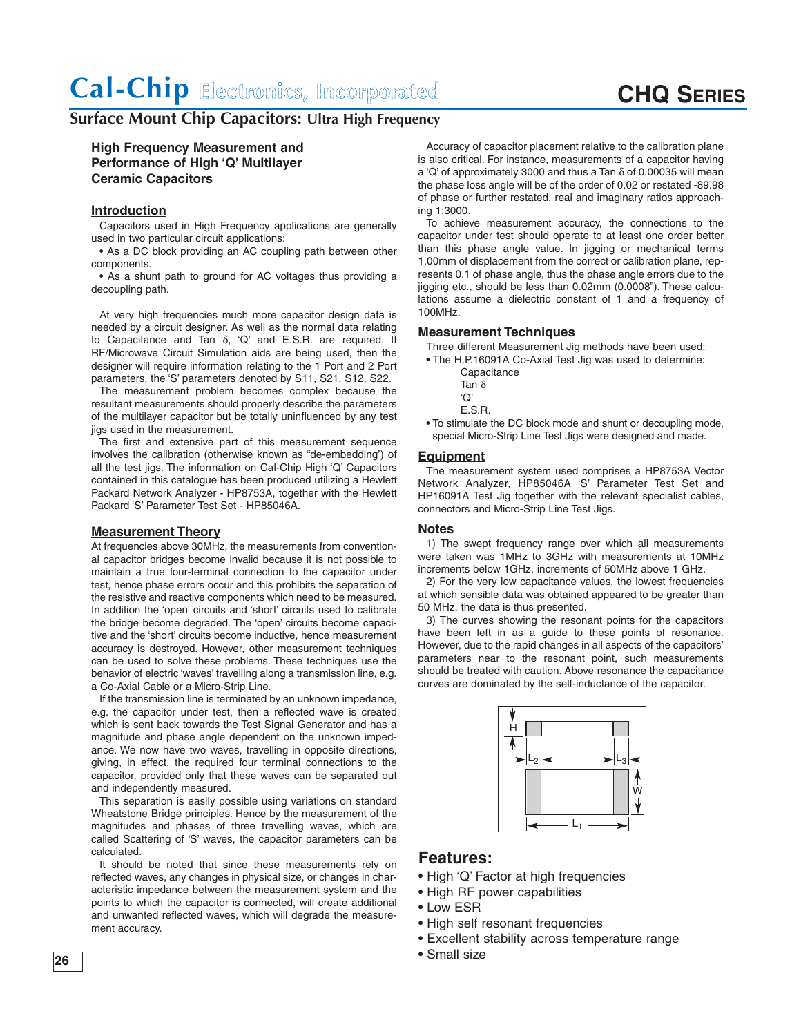## **CHQ SERIES**

## **Surface Mount Chip Capacitors: Ultra High Frequency**

### **High Frequency Measurement and Performance of High 'Q' Multilayer Ceramic Capacitors**

### **Introduction**

Capacitors used in High Frequency applications are generally used in two particular circuit applications:

• As a DC block providing an AC coupling path between other components.

• As a shunt path to ground for AC voltages thus providing a decoupling path.

At very high frequencies much more capacitor design data is needed by a circuit designer. As well as the normal data relating to Capacitance and Tan δ, 'Q' and E.S.R. are required. If RF/Microwave Circuit Simulation aids are being used, then the designer will require information relating to the 1 Port and 2 Port parameters, the 'S' parameters denoted by S11, S21, S12, S22.

The measurement problem becomes complex because the resultant measurements should properly describe the parameters of the multilayer capacitor but be totally uninfluenced by any test jigs used in the measurement.

The first and extensive part of this measurement sequence involves the calibration (otherwise known as "de-embedding') of all the test jigs. The information on Cal-Chip High 'Q' Capacitors contained in this catalogue has been produced utilizing a Hewlett Packard Network Analyzer - HP8753A, together with the Hewlett Packard 'S' Parameter Test Set - HP85046A.

### **Measurement Theory**

At frequencies above 30MHz, the measurements from conventional capacitor bridges become invalid because it is not possible to maintain a true four-terminal connection to the capacitor under test, hence phase errors occur and this prohibits the separation of the resistive and reactive components which need to be measured. In addition the 'open' circuits and 'short' circuits used to calibrate the bridge become degraded. The 'open' circuits become capacitive and the 'short' circuits become inductive, hence measurement accuracy is destroyed. However, other measurement techniques can be used to solve these problems. These techniques use the behavior of electric 'waves' travelling along a transmission line, e.g. a Co-Axial Cable or a Micro-Strip Line.

If the transmission line is terminated by an unknown impedance, e.g. the capacitor under test, then a reflected wave is created which is sent back towards the Test Signal Generator and has a magnitude and phase angle dependent on the unknown impedance. We now have two waves, travelling in opposite directions, giving, in effect, the required four terminal connections to the capacitor, provided only that these waves can be separated out and independently measured.

This separation is easily possible using variations on standard Wheatstone Bridge principles. Hence by the measurement of the magnitudes and phases of three travelling waves, which are called Scattering of 'S' waves, the capacitor parameters can be calculated.

It should be noted that since these measurements rely on reflected waves, any changes in physical size, or changes in characteristic impedance between the measurement system and the points to which the capacitor is connected, will create additional and unwanted reflected waves, which will degrade the measurement accuracy.

Accuracy of capacitor placement relative to the calibration plane is also critical. For instance, measurements of a capacitor having a 'Q' of approximately 3000 and thus a Tan δ of 0.00035 will mean the phase loss angle will be of the order of 0.02 or restated -89.98 of phase or further restated, real and imaginary ratios approaching 1:3000.

To achieve measurement accuracy, the connections to the capacitor under test should operate to at least one order better than this phase angle value. In jigging or mechanical terms 1.00mm of displacement from the correct or calibration plane, represents 0.1 of phase angle, thus the phase angle errors due to the jigging etc., should be less than 0.02mm (0.0008"). These calculations assume a dielectric constant of 1 and a frequency of 100MHz.

#### **Measurement Techniques**

Three different Measurement Jig methods have been used:

- The H.P.16091A Co-Axial Test Jig was used to determine: **Capacitance** 
	- Tan δ
	- 'Q'
	- E.S.R.
- To stimulate the DC block mode and shunt or decoupling mode, special Micro-Strip Line Test Jigs were designed and made.

#### **Equipment**

The measurement system used comprises a HP8753A Vector Network Analyzer, HP85046A 'S' Parameter Test Set and HP16091A Test Jig together with the relevant specialist cables, connectors and Micro-Strip Line Test Jigs.

#### **Notes**

1) The swept frequency range over which all measurements were taken was 1MHz to 3GHz with measurements at 10MHz increments below 1GHz, increments of 50MHz above 1 GHz.

2) For the very low capacitance values, the lowest frequencies at which sensible data was obtained appeared to be greater than 50 MHz, the data is thus presented.

3) The curves showing the resonant points for the capacitors have been left in as a guide to these points of resonance. However, due to the rapid changes in all aspects of the capacitors' parameters near to the resonant point, such measurements should be treated with caution. Above resonance the capacitance curves are dominated by the self-inductance of the capacitor.



### **Features:**

- High 'Q' Factor at high frequencies
- High RF power capabilities
- Low ESR
- High self resonant frequencies
- Excellent stability across temperature range
- Small size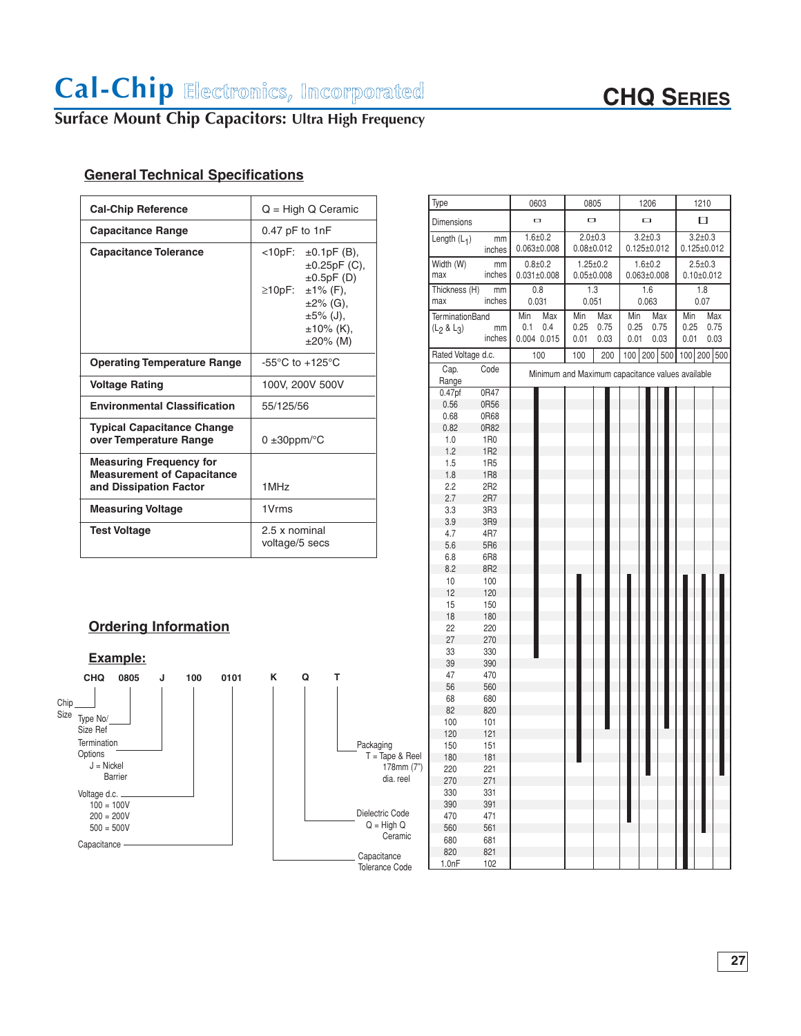# **CHQ SERIES**

## **Surface Mount Chip Capacitors: Ultra High Frequency**

## **General Technical Specifications**

| <b>Cal-Chip Reference</b>                                                                     | $Q = High Q$ Ceramic                                                                                                                                           |  |  |  |  |  |
|-----------------------------------------------------------------------------------------------|----------------------------------------------------------------------------------------------------------------------------------------------------------------|--|--|--|--|--|
| <b>Capacitance Range</b>                                                                      | $0.47$ pF to 1nF                                                                                                                                               |  |  |  |  |  |
| <b>Capacitance Tolerance</b>                                                                  | $<10pF$ : $\pm 0.1pF$ (B),<br>$\pm 0.25$ pF (C),<br>$\pm 0.5pF(D)$<br>≥10pF: ±1% (F),<br>$\pm 2\%$ (G),<br>$\pm 5\%$ (J),<br>$\pm 10\%$ (K),<br>$\pm 20\%$ (M) |  |  |  |  |  |
| <b>Operating Temperature Range</b>                                                            | $-55^{\circ}$ C to $+125^{\circ}$ C                                                                                                                            |  |  |  |  |  |
| <b>Voltage Rating</b>                                                                         | 100V, 200V 500V                                                                                                                                                |  |  |  |  |  |
| <b>Environmental Classification</b>                                                           | 55/125/56                                                                                                                                                      |  |  |  |  |  |
| <b>Typical Capacitance Change</b><br>over Temperature Range                                   | $0 \pm 30$ ppm/ $\degree$ C                                                                                                                                    |  |  |  |  |  |
| <b>Measuring Frequency for</b><br><b>Measurement of Capacitance</b><br>and Dissipation Factor | 1MHz                                                                                                                                                           |  |  |  |  |  |
| <b>Measuring Voltage</b>                                                                      | 1V <sub>rms</sub>                                                                                                                                              |  |  |  |  |  |
| <b>Test Voltage</b>                                                                           | 2.5 x nominal<br>voltage/5 secs                                                                                                                                |  |  |  |  |  |

|--|



|                     | Type<br>Dimensions                 |                        | 0603                                             |                                                                        | 0805                            |              | 1206                             |  |              | 1210                               |             |              |
|---------------------|------------------------------------|------------------------|--------------------------------------------------|------------------------------------------------------------------------|---------------------------------|--------------|----------------------------------|--|--------------|------------------------------------|-------------|--------------|
|                     |                                    |                        | o<br>O                                           |                                                                        |                                 | $\Box$       |                                  |  | □            |                                    |             |              |
|                     | Length $(L_1)$                     | mm<br>inches           |                                                  | $1.6 + 0.2$<br>$0.063 \pm 0.008$                                       | $2.0 + 0.3$<br>$0.08 \pm 0.012$ |              | $3.2 + 0.3$<br>$0.125 \pm 0.012$ |  |              | $3.2 \pm 0.3$<br>$0.125 \pm 0.012$ |             |              |
|                     | Width (W)<br>max                   | mm<br>inches           |                                                  | $0.8 + 0.2$<br>$1.25 \pm 0.2$<br>$0.031 \pm 0.008$<br>$0.05 \pm 0.008$ |                                 |              | $1.6 + 0.2$<br>$0.063 \pm 0.008$ |  |              | $2.5 \pm 0.3$<br>$0.10 \pm 0.012$  |             |              |
|                     | Thickness (H)<br>max               | mm<br>inches           | 0.8<br>0.031                                     |                                                                        | 1.3<br>0.051                    |              | 1.6<br>0.063                     |  |              | 1.8<br>0.07                        |             |              |
|                     | <b>TerminationBand</b>             |                        | Min                                              | Max                                                                    | Min                             | Max          | Min                              |  | Max          | Min                                |             | Max          |
|                     | (L <sub>2</sub> & L <sub>3</sub> ) | mm<br>inches           | 0.1                                              | 0.4<br>0.004 0.015                                                     | 0.25<br>0.01                    | 0.75<br>0.03 | 0.25<br>0.01                     |  | 0.75<br>0.03 | 0.25<br>0.01                       |             | 0.75<br>0.03 |
|                     | Rated Voltage d.c.                 |                        |                                                  | 100                                                                    | 100                             | 200          |                                  |  | 100 200 500  |                                    | 100 200 500 |              |
|                     | Cap.<br>Range                      | Code                   | Minimum and Maximum capacitance values available |                                                                        |                                 |              |                                  |  |              |                                    |             |              |
|                     | 0.47 <sub>pf</sub>                 | 0R47                   |                                                  |                                                                        |                                 |              |                                  |  |              |                                    |             |              |
|                     | 0.56                               | 0R56                   |                                                  |                                                                        |                                 |              |                                  |  |              |                                    |             |              |
|                     | 0.68                               | 0R68                   |                                                  |                                                                        |                                 |              |                                  |  |              |                                    |             |              |
|                     | 0.82                               | 0R82                   |                                                  |                                                                        |                                 |              |                                  |  |              |                                    |             |              |
|                     | 1.0<br>1.2                         | 1R0<br>1R <sub>2</sub> |                                                  |                                                                        |                                 |              |                                  |  |              |                                    |             |              |
|                     | 1.5                                | 1R5                    |                                                  |                                                                        |                                 |              |                                  |  |              |                                    |             |              |
|                     | 1.8                                | 1R8                    |                                                  |                                                                        |                                 |              |                                  |  |              |                                    |             |              |
|                     | 2.2                                | 2R2                    |                                                  |                                                                        |                                 |              |                                  |  |              |                                    |             |              |
|                     | 2.7                                | 2R7                    |                                                  |                                                                        |                                 |              |                                  |  |              |                                    |             |              |
|                     | 3.3                                | 3R3                    |                                                  |                                                                        |                                 |              |                                  |  |              |                                    |             |              |
|                     | 3.9                                | 3R9                    |                                                  |                                                                        |                                 |              |                                  |  |              |                                    |             |              |
|                     | 4.7                                | 4R7                    |                                                  |                                                                        |                                 |              |                                  |  |              |                                    |             |              |
|                     | 5.6                                | 5R6                    |                                                  |                                                                        |                                 |              |                                  |  |              |                                    |             |              |
|                     | 6.8                                | 6R8                    |                                                  |                                                                        |                                 |              |                                  |  |              |                                    |             |              |
|                     | 8.2                                | 8R2                    |                                                  |                                                                        |                                 |              |                                  |  |              |                                    |             |              |
|                     | 10                                 | 100                    |                                                  |                                                                        |                                 |              |                                  |  |              |                                    |             |              |
|                     | 12<br>15                           | 120                    |                                                  |                                                                        |                                 |              |                                  |  |              |                                    |             |              |
|                     | 18                                 | 150<br>180             |                                                  |                                                                        |                                 |              |                                  |  |              |                                    |             |              |
|                     | 22                                 | 220                    |                                                  |                                                                        |                                 |              |                                  |  |              |                                    |             |              |
|                     | 27                                 | 270                    |                                                  |                                                                        |                                 |              |                                  |  |              |                                    |             |              |
|                     | 33                                 | 330                    |                                                  |                                                                        |                                 |              |                                  |  |              |                                    |             |              |
|                     | 39                                 | 390                    |                                                  |                                                                        |                                 |              |                                  |  |              |                                    |             |              |
|                     | 47                                 | 470                    |                                                  |                                                                        |                                 |              |                                  |  |              |                                    |             |              |
|                     | 56                                 | 560                    |                                                  |                                                                        |                                 |              |                                  |  |              |                                    |             |              |
|                     | 68                                 | 680                    |                                                  |                                                                        |                                 |              |                                  |  |              |                                    |             |              |
|                     | 82                                 | 820                    |                                                  |                                                                        |                                 |              |                                  |  |              |                                    |             |              |
|                     | 100                                | 101                    |                                                  |                                                                        |                                 |              |                                  |  |              |                                    |             |              |
|                     | 120                                | 121                    |                                                  |                                                                        |                                 |              |                                  |  |              |                                    |             |              |
| ging<br>Tape & Reel | 150                                | 151                    |                                                  |                                                                        |                                 |              |                                  |  |              |                                    |             |              |
| 178mm (7")          | 180<br>220                         | 181<br>221             |                                                  |                                                                        |                                 |              |                                  |  |              |                                    |             |              |
| dia. reel           | 270                                | 271                    |                                                  |                                                                        |                                 |              |                                  |  |              |                                    |             |              |
|                     | 330                                | 331                    |                                                  |                                                                        |                                 |              |                                  |  |              |                                    |             |              |
|                     | 390                                | 391                    |                                                  |                                                                        |                                 |              |                                  |  |              |                                    |             |              |
| ric Code            | 470                                | 471                    |                                                  |                                                                        |                                 |              |                                  |  |              |                                    |             |              |
| High Q              | 560                                | 561                    |                                                  |                                                                        |                                 |              |                                  |  |              |                                    |             |              |
| Ceramic             | 680                                | 681                    |                                                  |                                                                        |                                 |              |                                  |  |              |                                    |             |              |
|                     | 820                                | 821                    |                                                  |                                                                        |                                 |              |                                  |  |              |                                    |             |              |
| itance<br>nca Coda  | 1.0nF                              | 102                    |                                                  |                                                                        |                                 |              |                                  |  |              |                                    |             |              |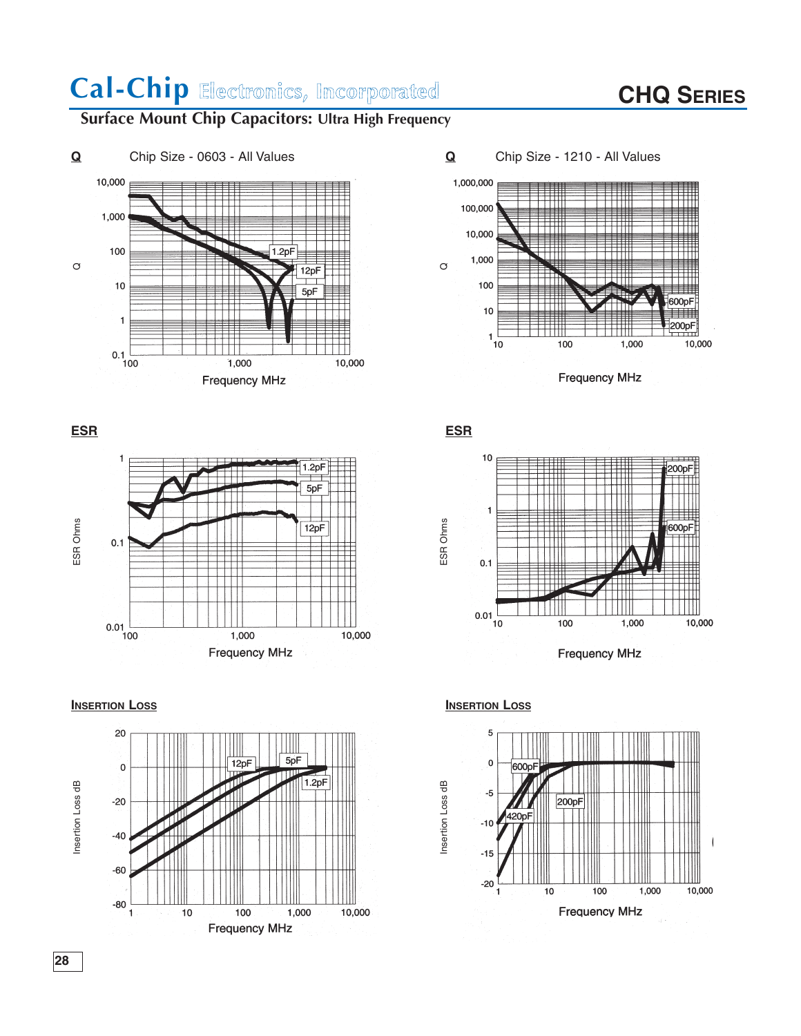# **CHQ SERIES**

## **Surface Mount Chip Capacitors: Ultra High Frequency**





INSERTION LOSS and the company MHz and the company MHz and the company MHz and the company MHz and the company MHz and the company MHz and the company MHz and the company MHz and the company MHz and the company MHz and the









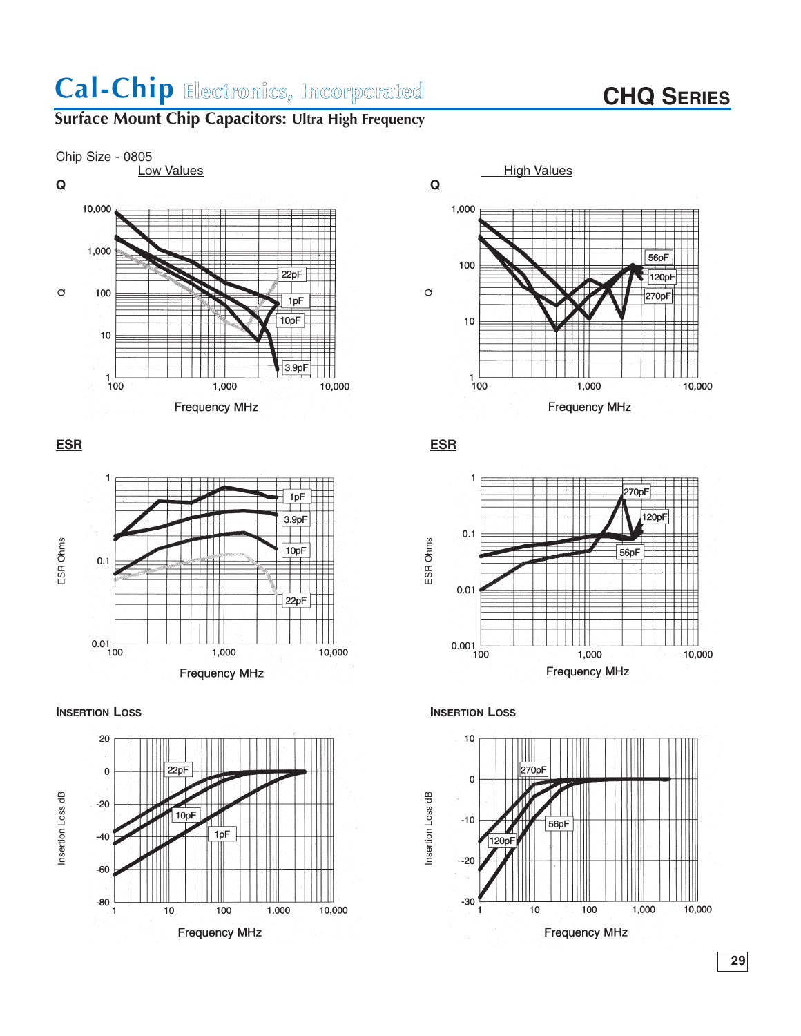# **CHQ SERIES**

## **Surface Mount Chip Capacitors: Ultra High Frequency**













**ESR ESR**